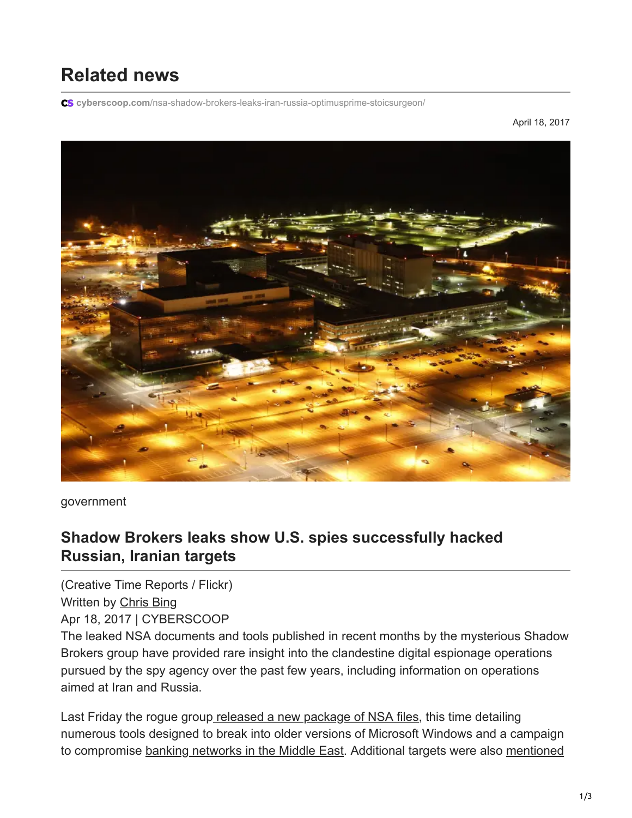## **Related news**

**cyberscoop.com**[/nsa-shadow-brokers-leaks-iran-russia-optimusprime-stoicsurgeon/](https://www.cyberscoop.com/nsa-shadow-brokers-leaks-iran-russia-optimusprime-stoicsurgeon/)

April 18, 2017



government

## **Shadow Brokers leaks show U.S. spies successfully hacked Russian, Iranian targets**

(Creative Time Reports / Flickr) Written by [Chris Bing](https://www.cyberscoop.com/author/chris-bing/) Apr 18, 2017 | CYBERSCOOP

The leaked NSA documents and tools published in recent months by the mysterious Shadow Brokers group have provided rare insight into the clandestine digital espionage operations pursued by the spy agency over the past few years, including information on operations aimed at Iran and Russia.

Last Friday the rogue grou[p released a new package of NSA files,](https://www.cyberscoop.com/shadow-brokers-nsa-documents-reveal-sweeping-espionage-operation-middle-eastern-banks/) this time detailing numerous tools designed to break into older versions of Microsoft Windows and a campaign [to compromise](https://www.cyberscoop.com/shadow-brokers-linux-nsa-donald-trump-syria/) [banking networks in the Middle East](https://www.cyberscoop.com/shadow-brokers-nsa-documents-reveal-sweeping-espionage-operation-middle-eastern-banks/)[. Additional targets were also mentioned](https://www.cyberscoop.com/shadow-brokers-linux-nsa-donald-trump-syria/)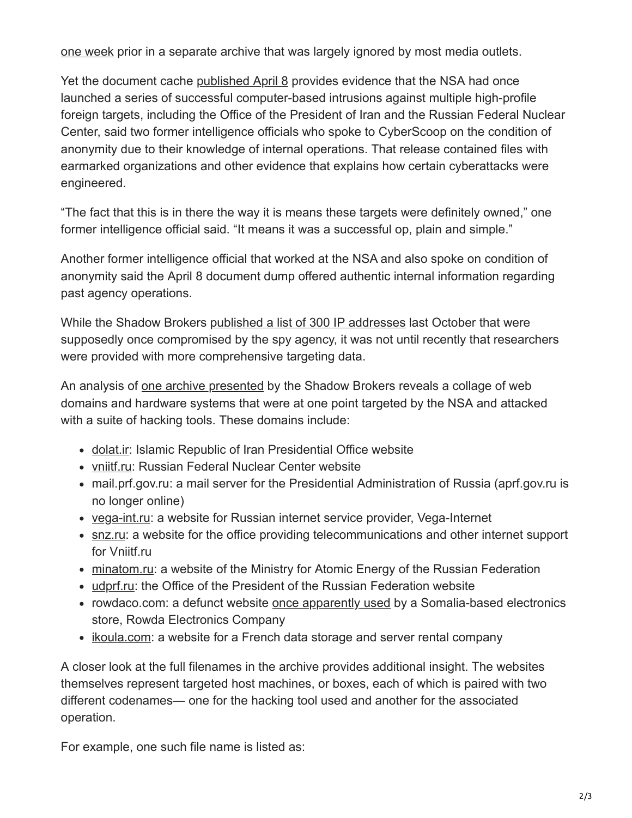[one week prior in a separate archive that was largely ignored by most media outlets.](https://www.cyberscoop.com/shadow-brokers-linux-nsa-donald-trump-syria/)

Yet the document cache [published April 8](https://medium.com/@shadowbrokerss/dont-forget-your-base-867d304a94b1) provides evidence that the NSA had once launched a series of successful computer-based intrusions against multiple high-profile foreign targets, including the Office of the President of Iran and the Russian Federal Nuclear Center, said two former intelligence officials who spoke to CyberScoop on the condition of anonymity due to their knowledge of internal operations. That release contained files with earmarked organizations and other evidence that explains how certain cyberattacks were engineered.

"The fact that this is in there the way it is means these targets were definitely owned," one former intelligence official said. "It means it was a successful op, plain and simple."

Another former intelligence official that worked at the NSA and also spoke on condition of anonymity said the April 8 document dump offered authentic internal information regarding past agency operations.

While the Shadow Brokers [published a list of 300 IP addresses](https://www.myhackerhouse.com/hacker-halloween-inside-shadow-brokers-leak/) last October that were supposedly once compromised by the spy agency, it was not until recently that researchers were provided with more comprehensive targeting data.

An analysis of [one archive presented](https://github.com/x0rz/EQGRP/tree/master/archive_files) by the Shadow Brokers reveals a collage of web domains and hardware systems that were at one point targeted by the NSA and attacked with a suite of hacking tools. These domains include:

- [dolat.ir](https://github.com/x0rz/EQGRP/blob/master/archive_files/stoicctrls/stoicctrls/stoicsurgeon_ctrl__v__1.6.12.6_x86-linux-optimusprime-vezarat.dolat.ir): Islamic Republic of Iran Presidential Office website
- [vniitf.ru:](http://vniitf.ru/) Russian Federal Nuclear Center website
- mail.prf.gov.ru: a mail server for the Presidential Administration of Russia (aprf.gov.ru is no longer online)
- [vega-int.ru:](http://vega-int.ru/) a website for Russian internet service provider, Vega-Internet
- [snz.ru:](http://snz.ru/) a website for the office providing telecommunications and other internet support for Vniitf.ru
- [minatom.ru](http://minatom.ru/): a website of the Ministry for Atomic Energy of the Russian Federation
- [udprf.ru](http://udprf.ru/): the Office of the President of the Russian Federation website
- rowdaco.com: a defunct website [once apparently used](http://www.bizearch.com/company/Rowda_Electronics_Company_274156.htm) by a Somalia-based electronics store, Rowda Electronics Company
- [ikoula.com](http://ikoula.com/): a website for a French data storage and server rental company

A closer look at the full filenames in the archive provides additional insight. The websites themselves represent targeted host machines, or boxes, each of which is paired with two different codenames— one for the hacking tool used and another for the associated operation.

For example, one such file name is listed as: